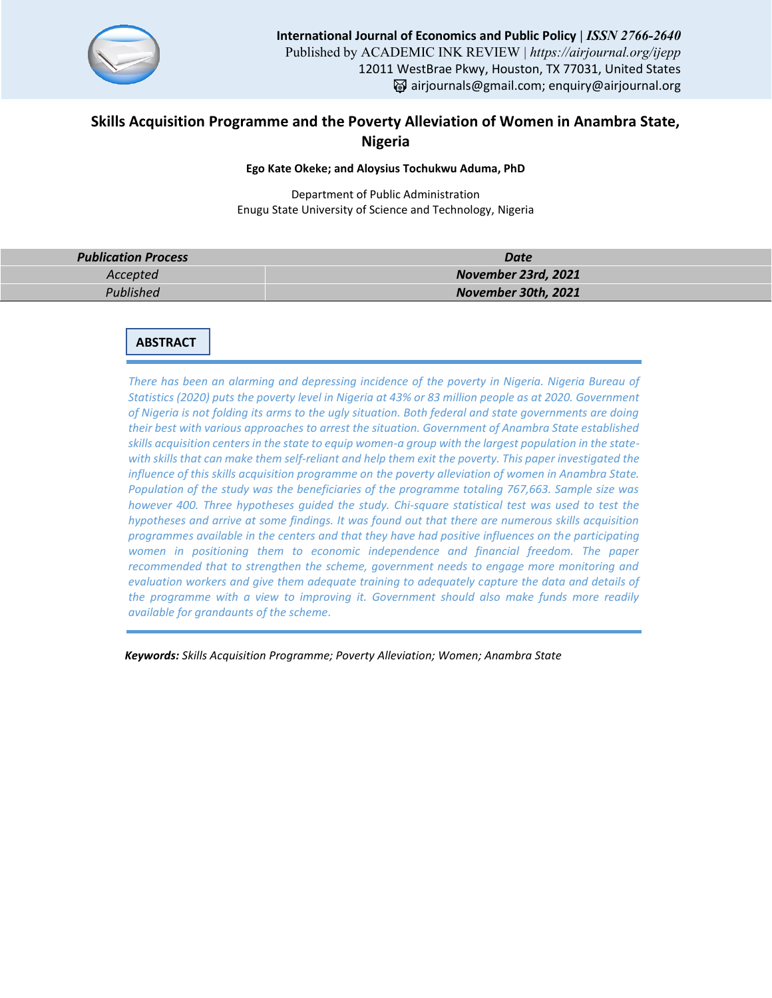

# **Skills Acquisition Programme and the Poverty Alleviation of Women in Anambra State, Nigeria**

#### **Ego Kate Okeke; and Aloysius Tochukwu Aduma, PhD**

Department of Public Administration Enugu State University of Science and Technology, Nigeria

| <b>Publication Process</b> | <b>Date</b>         |
|----------------------------|---------------------|
| Accepted                   | November 23rd, 2021 |
| Published                  | November 30th, 2021 |

## **ABSTRACT**

*There has been an alarming and depressing incidence of the poverty in Nigeria. Nigeria Bureau of Statistics (2020) puts the poverty level in Nigeria at 43% or 83 million people as at 2020. Government of Nigeria is not folding its arms to the ugly situation. Both federal and state governments are doing their best with various approaches to arrest the situation. Government of Anambra State established skills acquisition centers in the state to equip women-a group with the largest population in the statewith skills that can make them self-reliant and help them exit the poverty. This paper investigated the influence of this skills acquisition programme on the poverty alleviation of women in Anambra State. Population of the study was the beneficiaries of the programme totaling 767,663. Sample size was however 400. Three hypotheses guided the study. Chi-square statistical test was used to test the hypotheses and arrive at some findings. It was found out that there are numerous skills acquisition programmes available in the centers and that they have had positive influences on the participating*  women in positioning them to economic independence and financial freedom. The paper *recommended that to strengthen the scheme, government needs to engage more monitoring and evaluation workers and give them adequate training to adequately capture the data and details of the programme with a view to improving it. Government should also make funds more readily available for grandaunts of the scheme.*

*Keywords: Skills Acquisition Programme; Poverty Alleviation; Women; Anambra State*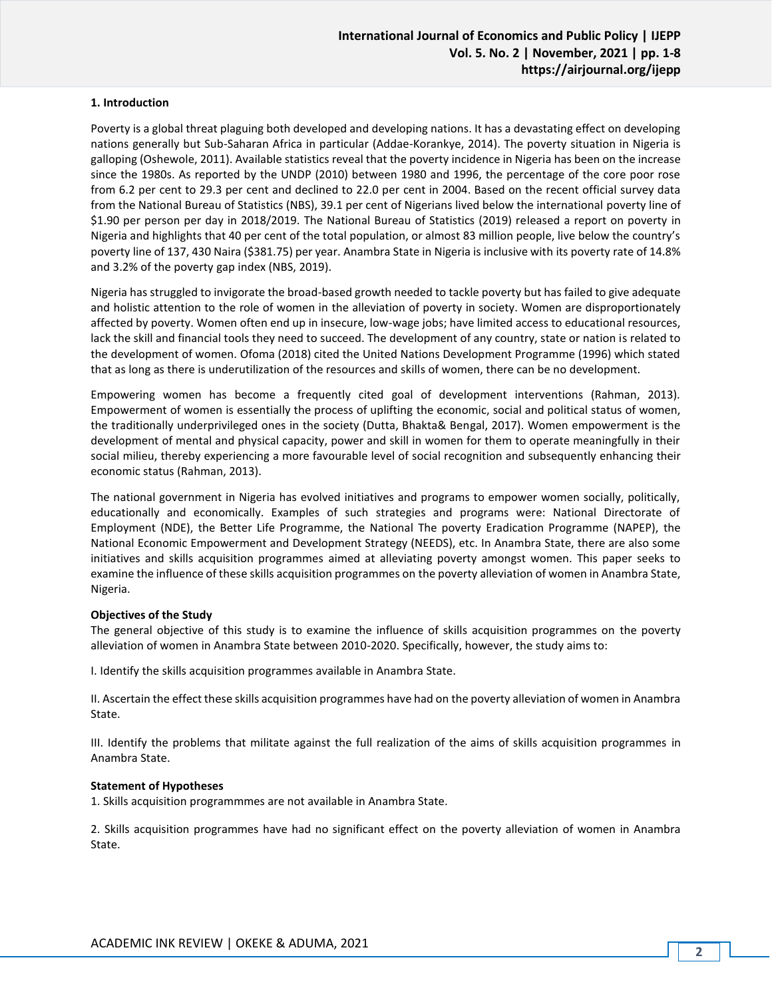#### **1. Introduction**

Poverty is a global threat plaguing both developed and developing nations. It has a devastating effect on developing nations generally but Sub-Saharan Africa in particular (Addae-Korankye, 2014). The poverty situation in Nigeria is galloping (Oshewole, 2011). Available statistics reveal that the poverty incidence in Nigeria has been on the increase since the 1980s. As reported by the UNDP (2010) between 1980 and 1996, the percentage of the core poor rose from 6.2 per cent to 29.3 per cent and declined to 22.0 per cent in 2004. Based on the recent official survey data from the National Bureau of Statistics (NBS), 39.1 per cent of Nigerians lived below the international poverty line of \$1.90 per person per day in 2018/2019. The National Bureau of Statistics (2019) released a report on poverty in Nigeria and highlights that 40 per cent of the total population, or almost 83 million people, live below the country's poverty line of 137, 430 Naira (\$381.75) per year. Anambra State in Nigeria is inclusive with its poverty rate of 14.8% and 3.2% of the poverty gap index (NBS, 2019).

Nigeria has struggled to invigorate the broad-based growth needed to tackle poverty but has failed to give adequate and holistic attention to the role of women in the alleviation of poverty in society. Women are disproportionately affected by poverty. Women often end up in insecure, low-wage jobs; have limited access to educational resources, lack the skill and financial tools they need to succeed. The development of any country, state or nation is related to the development of women. Ofoma (2018) cited the United Nations Development Programme (1996) which stated that as long as there is underutilization of the resources and skills of women, there can be no development.

Empowering women has become a frequently cited goal of development interventions (Rahman, 2013). Empowerment of women is essentially the process of uplifting the economic, social and political status of women, the traditionally underprivileged ones in the society (Dutta, Bhakta& Bengal, 2017). Women empowerment is the development of mental and physical capacity, power and skill in women for them to operate meaningfully in their social milieu, thereby experiencing a more favourable level of social recognition and subsequently enhancing their economic status (Rahman, 2013).

The national government in Nigeria has evolved initiatives and programs to empower women socially, politically, educationally and economically. Examples of such strategies and programs were: National Directorate of Employment (NDE), the Better Life Programme, the National The poverty Eradication Programme (NAPEP), the National Economic Empowerment and Development Strategy (NEEDS), etc. In Anambra State, there are also some initiatives and skills acquisition programmes aimed at alleviating poverty amongst women. This paper seeks to examine the influence of these skills acquisition programmes on the poverty alleviation of women in Anambra State, Nigeria.

#### **Objectives of the Study**

The general objective of this study is to examine the influence of skills acquisition programmes on the poverty alleviation of women in Anambra State between 2010-2020. Specifically, however, the study aims to:

I. Identify the skills acquisition programmes available in Anambra State.

II. Ascertain the effect these skills acquisition programmes have had on the poverty alleviation of women in Anambra State.

III. Identify the problems that militate against the full realization of the aims of skills acquisition programmes in Anambra State.

#### **Statement of Hypotheses**

1. Skills acquisition programmmes are not available in Anambra State.

2. Skills acquisition programmes have had no significant effect on the poverty alleviation of women in Anambra State.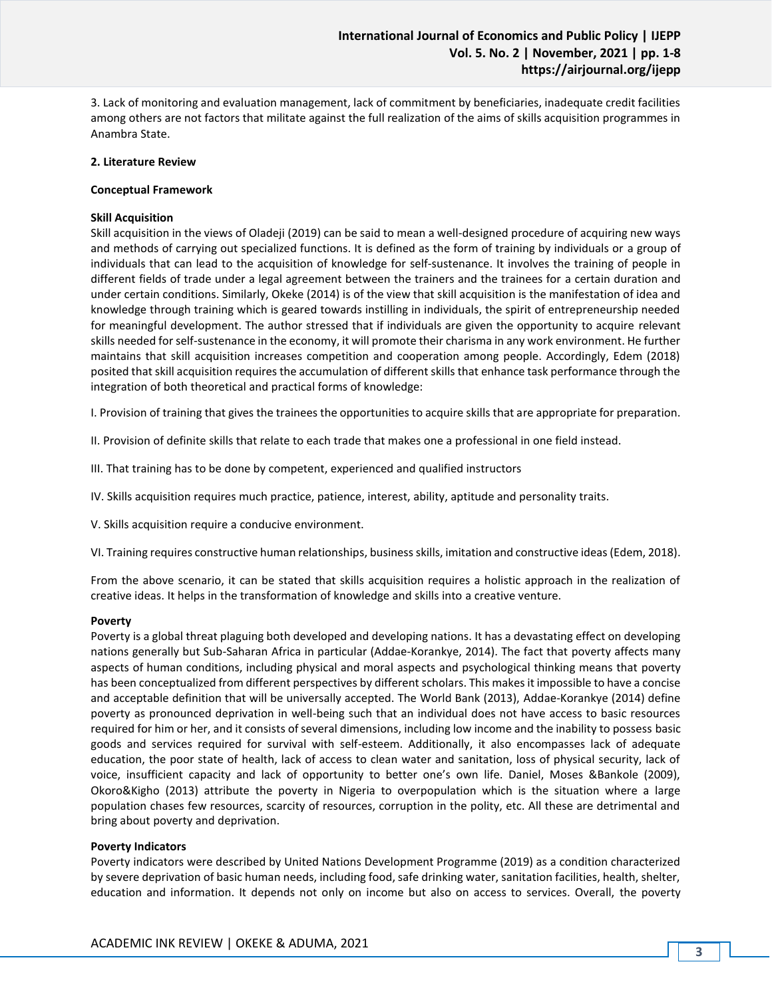3. Lack of monitoring and evaluation management, lack of commitment by beneficiaries, inadequate credit facilities among others are not factors that militate against the full realization of the aims of skills acquisition programmes in Anambra State.

#### **2. Literature Review**

#### **Conceptual Framework**

#### **Skill Acquisition**

Skill acquisition in the views of Oladeji (2019) can be said to mean a well-designed procedure of acquiring new ways and methods of carrying out specialized functions. It is defined as the form of training by individuals or a group of individuals that can lead to the acquisition of knowledge for self-sustenance. It involves the training of people in different fields of trade under a legal agreement between the trainers and the trainees for a certain duration and under certain conditions. Similarly, Okeke (2014) is of the view that skill acquisition is the manifestation of idea and knowledge through training which is geared towards instilling in individuals, the spirit of entrepreneurship needed for meaningful development. The author stressed that if individuals are given the opportunity to acquire relevant skills needed for self-sustenance in the economy, it will promote their charisma in any work environment. He further maintains that skill acquisition increases competition and cooperation among people. Accordingly, Edem (2018) posited that skill acquisition requires the accumulation of different skills that enhance task performance through the integration of both theoretical and practical forms of knowledge:

I. Provision of training that gives the trainees the opportunities to acquire skills that are appropriate for preparation.

II. Provision of definite skills that relate to each trade that makes one a professional in one field instead.

- III. That training has to be done by competent, experienced and qualified instructors
- IV. Skills acquisition requires much practice, patience, interest, ability, aptitude and personality traits.
- V. Skills acquisition require a conducive environment.

VI. Training requires constructive human relationships, business skills, imitation and constructive ideas (Edem, 2018).

From the above scenario, it can be stated that skills acquisition requires a holistic approach in the realization of creative ideas. It helps in the transformation of knowledge and skills into a creative venture.

#### **Poverty**

Poverty is a global threat plaguing both developed and developing nations. It has a devastating effect on developing nations generally but Sub-Saharan Africa in particular (Addae-Korankye, 2014). The fact that poverty affects many aspects of human conditions, including physical and moral aspects and psychological thinking means that poverty has been conceptualized from different perspectives by different scholars. This makes it impossible to have a concise and acceptable definition that will be universally accepted. The World Bank (2013), Addae-Korankye (2014) define poverty as pronounced deprivation in well-being such that an individual does not have access to basic resources required for him or her, and it consists of several dimensions, including low income and the inability to possess basic goods and services required for survival with self-esteem. Additionally, it also encompasses lack of adequate education, the poor state of health, lack of access to clean water and sanitation, loss of physical security, lack of voice, insufficient capacity and lack of opportunity to better one's own life. Daniel, Moses &Bankole (2009), Okoro&Kigho (2013) attribute the poverty in Nigeria to overpopulation which is the situation where a large population chases few resources, scarcity of resources, corruption in the polity, etc. All these are detrimental and bring about poverty and deprivation.

#### **Poverty Indicators**

Poverty indicators were described by United Nations Development Programme (2019) as a condition characterized by severe deprivation of basic human needs, including food, safe drinking water, sanitation facilities, health, shelter, education and information. It depends not only on income but also on access to services. Overall, the poverty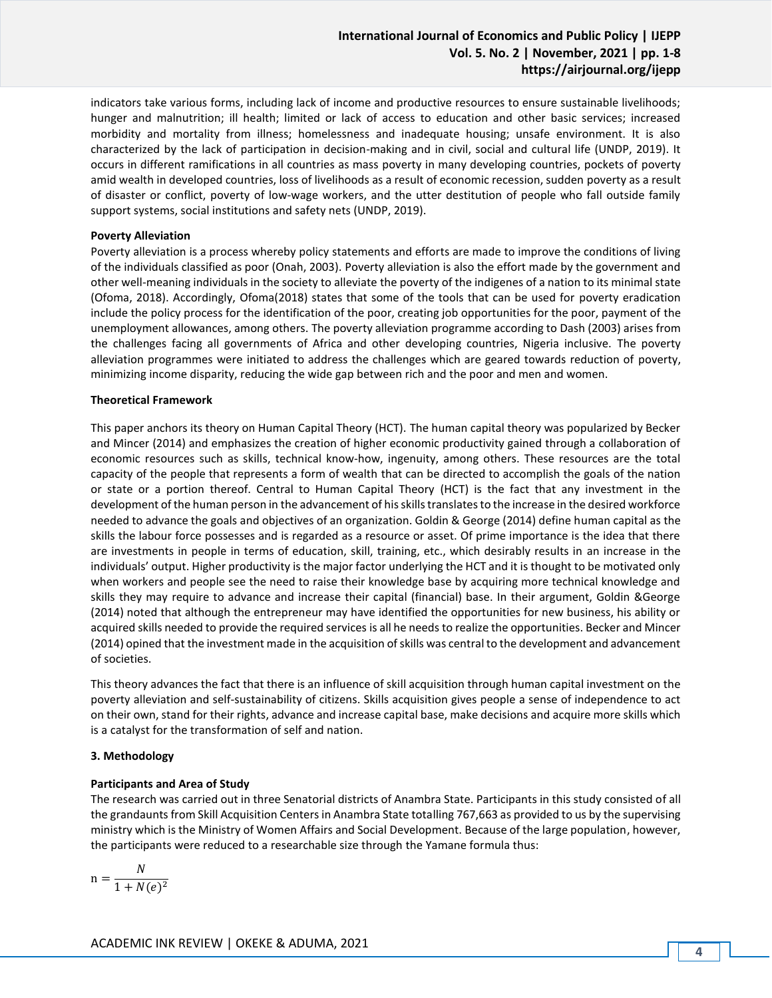indicators take various forms, including lack of income and productive resources to ensure sustainable livelihoods; hunger and malnutrition; ill health; limited or lack of access to education and other basic services; increased morbidity and mortality from illness; homelessness and inadequate housing; unsafe environment. It is also characterized by the lack of participation in decision-making and in civil, social and cultural life (UNDP, 2019). It occurs in different ramifications in all countries as mass poverty in many developing countries, pockets of poverty amid wealth in developed countries, loss of livelihoods as a result of economic recession, sudden poverty as a result of disaster or conflict, poverty of low-wage workers, and the utter destitution of people who fall outside family support systems, social institutions and safety nets (UNDP, 2019).

#### **Poverty Alleviation**

Poverty alleviation is a process whereby policy statements and efforts are made to improve the conditions of living of the individuals classified as poor (Onah, 2003). Poverty alleviation is also the effort made by the government and other well-meaning individuals in the society to alleviate the poverty of the indigenes of a nation to its minimal state (Ofoma, 2018). Accordingly, Ofoma(2018) states that some of the tools that can be used for poverty eradication include the policy process for the identification of the poor, creating job opportunities for the poor, payment of the unemployment allowances, among others. The poverty alleviation programme according to Dash (2003) arises from the challenges facing all governments of Africa and other developing countries, Nigeria inclusive. The poverty alleviation programmes were initiated to address the challenges which are geared towards reduction of poverty, minimizing income disparity, reducing the wide gap between rich and the poor and men and women.

#### **Theoretical Framework**

This paper anchors its theory on Human Capital Theory (HCT). The human capital theory was popularized by Becker and Mincer (2014) and emphasizes the creation of higher economic productivity gained through a collaboration of economic resources such as skills, technical know-how, ingenuity, among others. These resources are the total capacity of the people that represents a form of wealth that can be directed to accomplish the goals of the nation or state or a portion thereof. Central to Human Capital Theory (HCT) is the fact that any investment in the development of the human person in the advancement of his skills translates to the increase in the desired workforce needed to advance the goals and objectives of an organization. Goldin & George (2014) define human capital as the skills the labour force possesses and is regarded as a resource or asset. Of prime importance is the idea that there are investments in people in terms of education, skill, training, etc., which desirably results in an increase in the individuals' output. Higher productivity is the major factor underlying the HCT and it is thought to be motivated only when workers and people see the need to raise their knowledge base by acquiring more technical knowledge and skills they may require to advance and increase their capital (financial) base. In their argument, Goldin &George (2014) noted that although the entrepreneur may have identified the opportunities for new business, his ability or acquired skills needed to provide the required services is all he needs to realize the opportunities. Becker and Mincer (2014) opined that the investment made in the acquisition of skills was central to the development and advancement of societies.

This theory advances the fact that there is an influence of skill acquisition through human capital investment on the poverty alleviation and self-sustainability of citizens. Skills acquisition gives people a sense of independence to act on their own, stand for their rights, advance and increase capital base, make decisions and acquire more skills which is a catalyst for the transformation of self and nation.

#### **3. Methodology**

#### **Participants and Area of Study**

The research was carried out in three Senatorial districts of Anambra State. Participants in this study consisted of all the grandaunts from Skill Acquisition Centers in Anambra State totalling 767,663 as provided to us by the supervising ministry which is the Ministry of Women Affairs and Social Development. Because of the large population, however, the participants were reduced to a researchable size through the Yamane formula thus:

$$
n = \frac{N}{1 + N(e)^2}
$$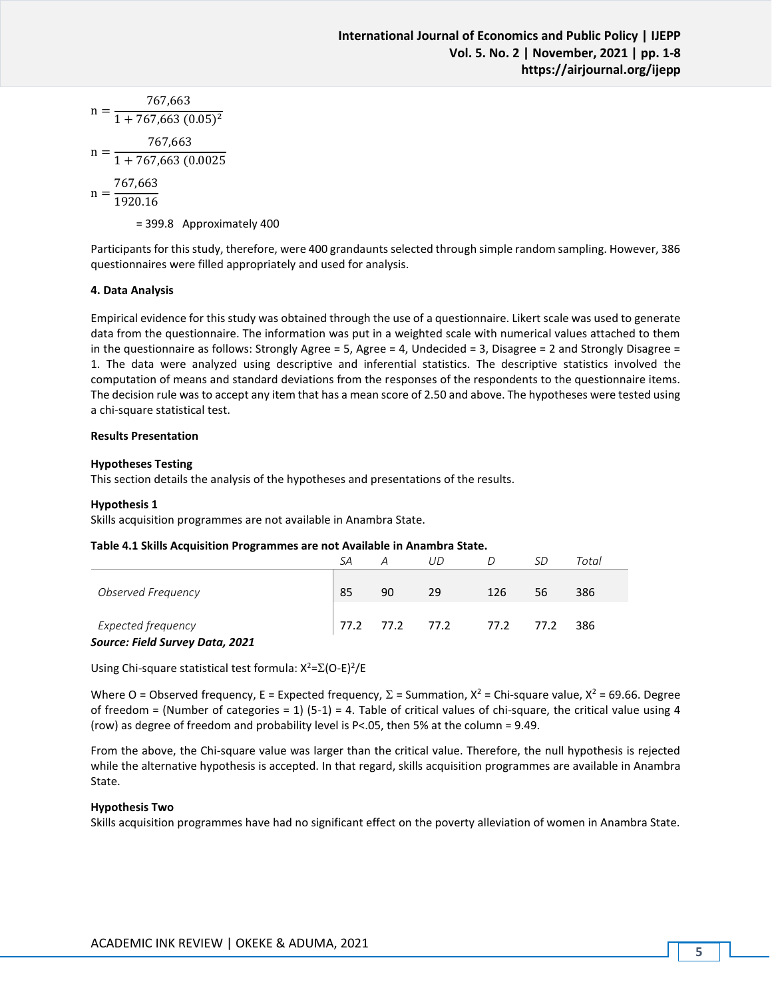n = 
$$
\frac{767,663}{1 + 767,663 (0.05)^2}
$$
  
n = 
$$
\frac{767,663}{1 + 767,663 (0.0025)}
$$
  
n = 
$$
\frac{767,663}{1920.16}
$$

= 399.8 Approximately 400

Participants for this study, therefore, were 400 grandaunts selected through simple random sampling. However, 386 questionnaires were filled appropriately and used for analysis.

## **4. Data Analysis**

Empirical evidence for this study was obtained through the use of a questionnaire. Likert scale was used to generate data from the questionnaire. The information was put in a weighted scale with numerical values attached to them in the questionnaire as follows: Strongly Agree = 5, Agree = 4, Undecided = 3, Disagree = 2 and Strongly Disagree = 1. The data were analyzed using descriptive and inferential statistics. The descriptive statistics involved the computation of means and standard deviations from the responses of the respondents to the questionnaire items. The decision rule was to accept any item that has a mean score of 2.50 and above. The hypotheses were tested using a chi-square statistical test.

## **Results Presentation**

## **Hypotheses Testing**

This section details the analysis of the hypotheses and presentations of the results.

## **Hypothesis 1**

Skills acquisition programmes are not available in Anambra State.

## **Table 4.1 Skills Acquisition Programmes are not Available in Anambra State.**

|                                                                     | SА | А  | I JD                |     | SD | Total |
|---------------------------------------------------------------------|----|----|---------------------|-----|----|-------|
| Observed Frequency                                                  | 85 | 90 | 29                  | 126 | 56 | 386   |
| <b>Expected frequency</b><br><b>Source: Field Survey Data, 2021</b> |    |    | 77.2 77.2 77.2 77.2 |     |    | 386   |

Using Chi-square statistical test formula:  $X^2 = \Sigma (O-E)^2 / E$ 

Where O = Observed frequency, E = Expected frequency,  $\Sigma$  = Summation,  $X^2$  = Chi-square value,  $X^2$  = 69.66. Degree of freedom = (Number of categories = 1) (5-1) = 4. Table of critical values of chi-square, the critical value using 4 (row) as degree of freedom and probability level is P<.05, then 5% at the column = 9.49.

From the above, the Chi-square value was larger than the critical value. Therefore, the null hypothesis is rejected while the alternative hypothesis is accepted. In that regard, skills acquisition programmes are available in Anambra State.

## **Hypothesis Two**

Skills acquisition programmes have had no significant effect on the poverty alleviation of women in Anambra State.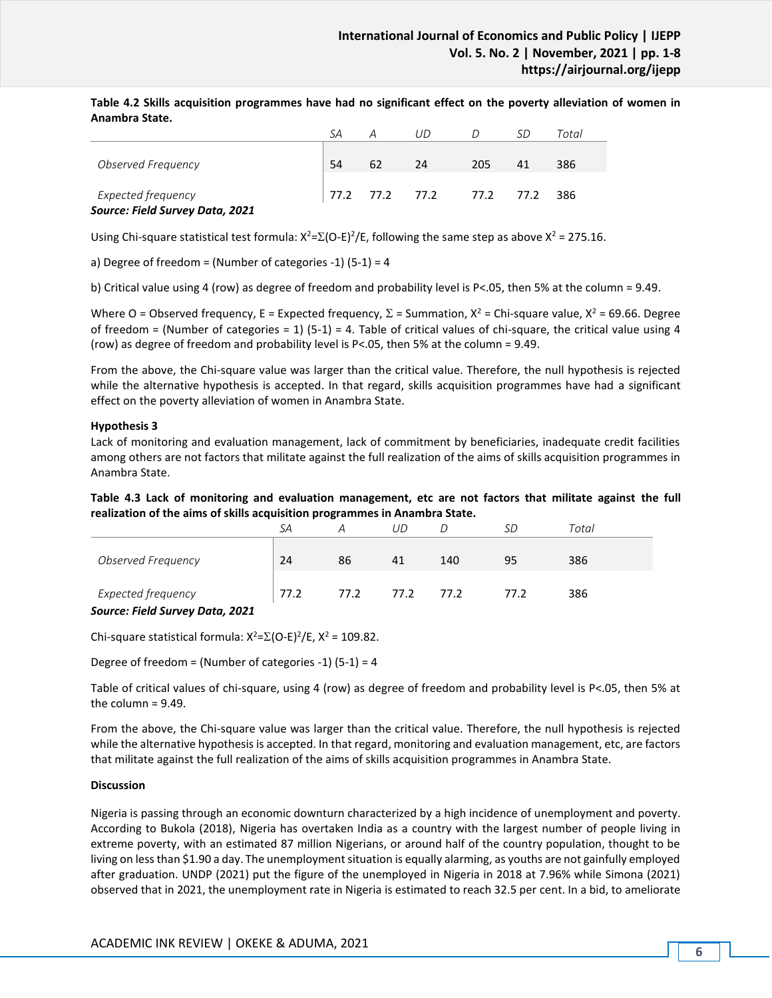|                                                       | SA | А  | חו                       |     |    | Total |
|-------------------------------------------------------|----|----|--------------------------|-----|----|-------|
| Observed Frequency                                    | 54 | 62 | 24                       | 205 | 41 | 386   |
| Expected frequency<br>Source: Field Survey Data, 2021 |    |    | 77.2 77.2 77.2 77.2 77.2 |     |    | 386   |

**Table 4.2 Skills acquisition programmes have had no significant effect on the poverty alleviation of women in Anambra State.**

Using Chi-square statistical test formula:  $X^2 = \Sigma (O-E)^2 / E$ , following the same step as above  $X^2 = 275.16$ .

a) Degree of freedom = (Number of categories -1)  $(5-1) = 4$ 

b) Critical value using 4 (row) as degree of freedom and probability level is P<.05, then 5% at the column = 9.49.

Where O = Observed frequency, E = Expected frequency,  $\Sigma$  = Summation,  $X^2$  = Chi-square value,  $X^2$  = 69.66. Degree of freedom = (Number of categories = 1) (5-1) = 4. Table of critical values of chi-square, the critical value using 4 (row) as degree of freedom and probability level is P<.05, then 5% at the column = 9.49.

From the above, the Chi-square value was larger than the critical value. Therefore, the null hypothesis is rejected while the alternative hypothesis is accepted. In that regard, skills acquisition programmes have had a significant effect on the poverty alleviation of women in Anambra State.

## **Hypothesis 3**

Lack of monitoring and evaluation management, lack of commitment by beneficiaries, inadequate credit facilities among others are not factors that militate against the full realization of the aims of skills acquisition programmes in Anambra State.

**Table 4.3 Lack of monitoring and evaluation management, etc are not factors that militate against the full realization of the aims of skills acquisition programmes in Anambra State.**

|                                                                     | SА   |      | ШD   |      | SC   | Total |
|---------------------------------------------------------------------|------|------|------|------|------|-------|
| Observed Frequency                                                  | 24   | 86   | 41   | 140  | 95   | 386   |
| <b>Expected frequency</b><br><b>Source: Field Survey Data, 2021</b> | 77.2 | 77.2 | 77.2 | 77.2 | 77.2 | 386   |

Chi-square statistical formula:  $X^2 = \Sigma (O-E)^2 / E$ ,  $X^2 = 109.82$ .

Degree of freedom = (Number of categories -1)  $(5-1) = 4$ 

Table of critical values of chi-square, using 4 (row) as degree of freedom and probability level is P<.05, then 5% at the column = 9.49.

From the above, the Chi-square value was larger than the critical value. Therefore, the null hypothesis is rejected while the alternative hypothesis is accepted. In that regard, monitoring and evaluation management, etc, are factors that militate against the full realization of the aims of skills acquisition programmes in Anambra State.

## **Discussion**

Nigeria is passing through an economic downturn characterized by a high incidence of unemployment and poverty. According to Bukola (2018), Nigeria has overtaken India as a country with the largest number of people living in extreme poverty, with an estimated 87 million Nigerians, or around half of the country population, thought to be living on less than \$1.90 a day. The unemployment situation is equally alarming, as youths are not gainfully employed after graduation. UNDP (2021) put the figure of the unemployed in Nigeria in 2018 at 7.96% while Simona (2021) observed that in 2021, the unemployment rate in Nigeria is estimated to reach 32.5 per cent. In a bid, to ameliorate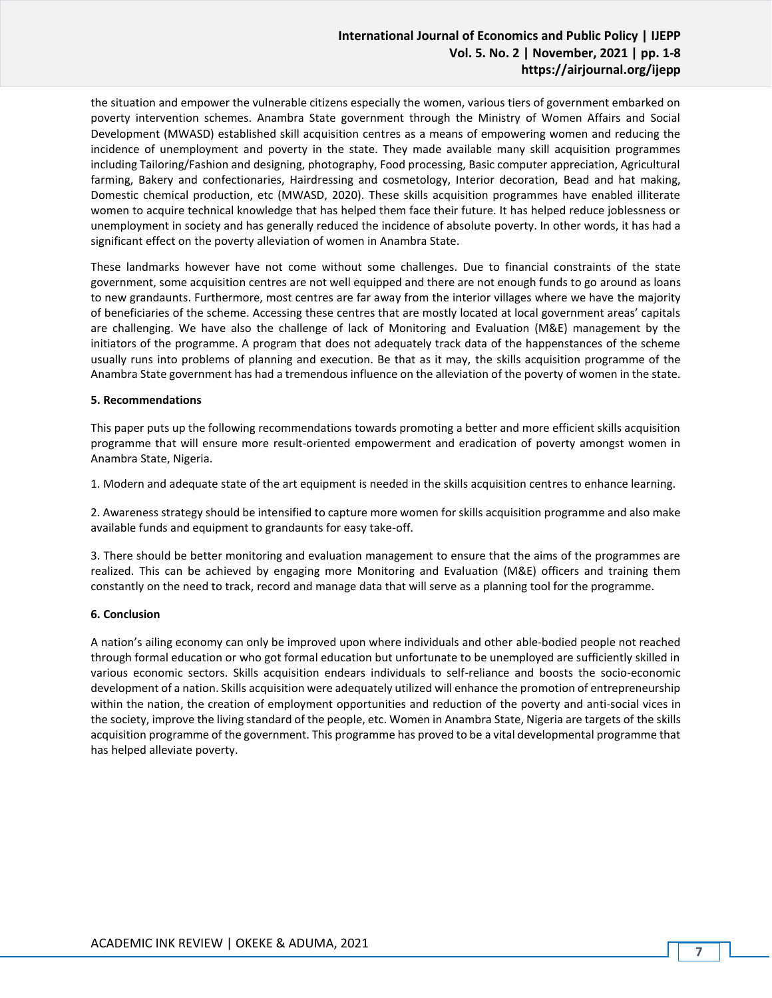## **International Journal of Economics and Public Policy | IJEPP Vol. 5. No. 2 | November, 2021 | pp. 1-8 https://airjournal.org/ijepp**

the situation and empower the vulnerable citizens especially the women, various tiers of government embarked on poverty intervention schemes. Anambra State government through the Ministry of Women Affairs and Social Development (MWASD) established skill acquisition centres as a means of empowering women and reducing the incidence of unemployment and poverty in the state. They made available many skill acquisition programmes including Tailoring/Fashion and designing, photography, Food processing, Basic computer appreciation, Agricultural farming, Bakery and confectionaries, Hairdressing and cosmetology, Interior decoration, Bead and hat making, Domestic chemical production, etc (MWASD, 2020). These skills acquisition programmes have enabled illiterate women to acquire technical knowledge that has helped them face their future. It has helped reduce joblessness or unemployment in society and has generally reduced the incidence of absolute poverty. In other words, it has had a significant effect on the poverty alleviation of women in Anambra State.

These landmarks however have not come without some challenges. Due to financial constraints of the state government, some acquisition centres are not well equipped and there are not enough funds to go around as loans to new grandaunts. Furthermore, most centres are far away from the interior villages where we have the majority of beneficiaries of the scheme. Accessing these centres that are mostly located at local government areas' capitals are challenging. We have also the challenge of lack of Monitoring and Evaluation (M&E) management by the initiators of the programme. A program that does not adequately track data of the happenstances of the scheme usually runs into problems of planning and execution. Be that as it may, the skills acquisition programme of the Anambra State government has had a tremendous influence on the alleviation of the poverty of women in the state.

#### **5. Recommendations**

This paper puts up the following recommendations towards promoting a better and more efficient skills acquisition programme that will ensure more result-oriented empowerment and eradication of poverty amongst women in Anambra State, Nigeria.

1. Modern and adequate state of the art equipment is needed in the skills acquisition centres to enhance learning.

2. Awareness strategy should be intensified to capture more women for skills acquisition programme and also make available funds and equipment to grandaunts for easy take-off.

3. There should be better monitoring and evaluation management to ensure that the aims of the programmes are realized. This can be achieved by engaging more Monitoring and Evaluation (M&E) officers and training them constantly on the need to track, record and manage data that will serve as a planning tool for the programme.

#### **6. Conclusion**

A nation's ailing economy can only be improved upon where individuals and other able-bodied people not reached through formal education or who got formal education but unfortunate to be unemployed are sufficiently skilled in various economic sectors. Skills acquisition endears individuals to self-reliance and boosts the socio-economic development of a nation. Skills acquisition were adequately utilized will enhance the promotion of entrepreneurship within the nation, the creation of employment opportunities and reduction of the poverty and anti-social vices in the society, improve the living standard of the people, etc. Women in Anambra State, Nigeria are targets of the skills acquisition programme of the government. This programme has proved to be a vital developmental programme that has helped alleviate poverty.